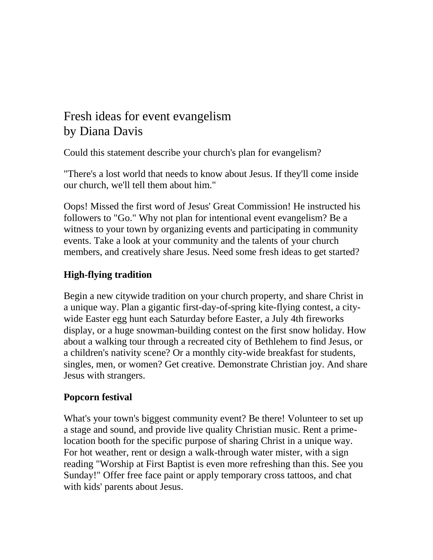# Fresh ideas for event evangelism by Diana Davis

Could this statement describe your church's plan for evangelism?

"There's a lost world that needs to know about Jesus. If they'll come inside our church, we'll tell them about him."

Oops! Missed the first word of Jesus' Great Commission! He instructed his followers to "Go." Why not plan for intentional event evangelism? Be a witness to your town by organizing events and participating in community events. Take a look at your community and the talents of your church members, and creatively share Jesus. Need some fresh ideas to get started?

## **High-flying tradition**

Begin a new citywide tradition on your church property, and share Christ in a unique way. Plan a gigantic first-day-of-spring kite-flying contest, a citywide Easter egg hunt each Saturday before Easter, a July 4th fireworks display, or a huge snowman-building contest on the first snow holiday. How about a walking tour through a recreated city of Bethlehem to find Jesus, or a children's nativity scene? Or a monthly city-wide breakfast for students, singles, men, or women? Get creative. Demonstrate Christian joy. And share Jesus with strangers.

# **Popcorn festival**

What's your town's biggest community event? Be there! Volunteer to set up a stage and sound, and provide live quality Christian music. Rent a primelocation booth for the specific purpose of sharing Christ in a unique way. For hot weather, rent or design a walk-through water mister, with a sign reading "Worship at First Baptist is even more refreshing than this. See you Sunday!" Offer free face paint or apply temporary cross tattoos, and chat with kids' parents about Jesus.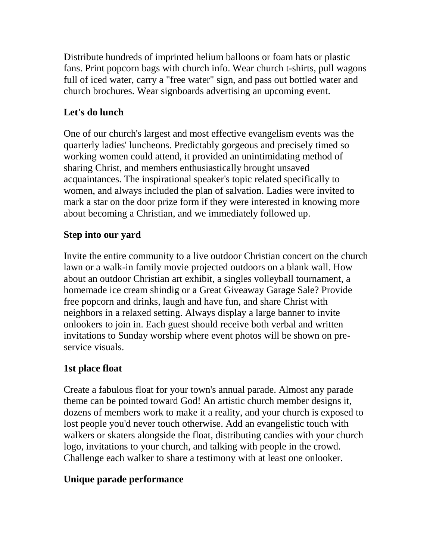Distribute hundreds of imprinted helium balloons or foam hats or plastic fans. Print popcorn bags with church info. Wear church t-shirts, pull wagons full of iced water, carry a "free water" sign, and pass out bottled water and church brochures. Wear signboards advertising an upcoming event.

# **Let's do lunch**

One of our church's largest and most effective evangelism events was the quarterly ladies' luncheons. Predictably gorgeous and precisely timed so working women could attend, it provided an unintimidating method of sharing Christ, and members enthusiastically brought unsaved acquaintances. The inspirational speaker's topic related specifically to women, and always included the plan of salvation. Ladies were invited to mark a star on the door prize form if they were interested in knowing more about becoming a Christian, and we immediately followed up.

## **Step into our yard**

Invite the entire community to a live outdoor Christian concert on the church lawn or a walk-in family movie projected outdoors on a blank wall. How about an outdoor Christian art exhibit, a singles volleyball tournament, a homemade ice cream shindig or a Great Giveaway Garage Sale? Provide free popcorn and drinks, laugh and have fun, and share Christ with neighbors in a relaxed setting. Always display a large banner to invite onlookers to join in. Each guest should receive both verbal and written invitations to Sunday worship where event photos will be shown on preservice visuals.

### **1st place float**

Create a fabulous float for your town's annual parade. Almost any parade theme can be pointed toward God! An artistic church member designs it, dozens of members work to make it a reality, and your church is exposed to lost people you'd never touch otherwise. Add an evangelistic touch with walkers or skaters alongside the float, distributing candies with your church logo, invitations to your church, and talking with people in the crowd. Challenge each walker to share a testimony with at least one onlooker.

### **Unique parade performance**